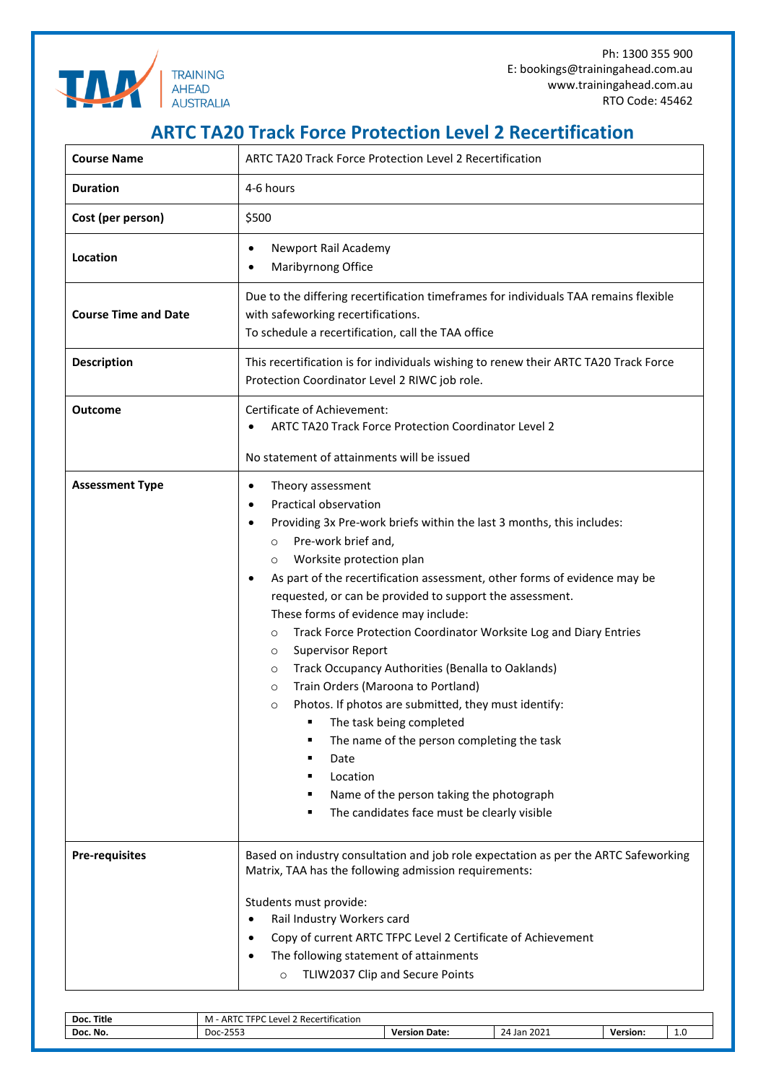

## **ARTC TA20 Track Force Protection Level 2 Recertification**

| <b>Course Name</b>          | <b>ARTC TA20 Track Force Protection Level 2 Recertification</b>                                                                                                                                                                                                                                                                                                                                                                                                                                                                                                                                                                                                                                                                                                                                                                                                                                         |  |  |  |
|-----------------------------|---------------------------------------------------------------------------------------------------------------------------------------------------------------------------------------------------------------------------------------------------------------------------------------------------------------------------------------------------------------------------------------------------------------------------------------------------------------------------------------------------------------------------------------------------------------------------------------------------------------------------------------------------------------------------------------------------------------------------------------------------------------------------------------------------------------------------------------------------------------------------------------------------------|--|--|--|
| <b>Duration</b>             | 4-6 hours                                                                                                                                                                                                                                                                                                                                                                                                                                                                                                                                                                                                                                                                                                                                                                                                                                                                                               |  |  |  |
| Cost (per person)           | \$500                                                                                                                                                                                                                                                                                                                                                                                                                                                                                                                                                                                                                                                                                                                                                                                                                                                                                                   |  |  |  |
| Location                    | Newport Rail Academy<br>٠<br>Maribyrnong Office                                                                                                                                                                                                                                                                                                                                                                                                                                                                                                                                                                                                                                                                                                                                                                                                                                                         |  |  |  |
| <b>Course Time and Date</b> | Due to the differing recertification timeframes for individuals TAA remains flexible<br>with safeworking recertifications.<br>To schedule a recertification, call the TAA office                                                                                                                                                                                                                                                                                                                                                                                                                                                                                                                                                                                                                                                                                                                        |  |  |  |
| <b>Description</b>          | This recertification is for individuals wishing to renew their ARTC TA20 Track Force<br>Protection Coordinator Level 2 RIWC job role.                                                                                                                                                                                                                                                                                                                                                                                                                                                                                                                                                                                                                                                                                                                                                                   |  |  |  |
| <b>Outcome</b>              | Certificate of Achievement:<br><b>ARTC TA20 Track Force Protection Coordinator Level 2</b><br>No statement of attainments will be issued                                                                                                                                                                                                                                                                                                                                                                                                                                                                                                                                                                                                                                                                                                                                                                |  |  |  |
| <b>Assessment Type</b>      | Theory assessment<br>٠<br>Practical observation<br>$\bullet$<br>Providing 3x Pre-work briefs within the last 3 months, this includes:<br>٠<br>Pre-work brief and,<br>$\circ$<br>Worksite protection plan<br>$\circ$<br>As part of the recertification assessment, other forms of evidence may be<br>٠<br>requested, or can be provided to support the assessment.<br>These forms of evidence may include:<br>Track Force Protection Coordinator Worksite Log and Diary Entries<br>$\circ$<br><b>Supervisor Report</b><br>$\circ$<br>Track Occupancy Authorities (Benalla to Oaklands)<br>O<br>Train Orders (Maroona to Portland)<br>$\circ$<br>Photos. If photos are submitted, they must identify:<br>$\circ$<br>The task being completed<br>The name of the person completing the task<br>Date<br>Location<br>Name of the person taking the photograph<br>The candidates face must be clearly visible |  |  |  |
| <b>Pre-requisites</b>       | Based on industry consultation and job role expectation as per the ARTC Safeworking<br>Matrix, TAA has the following admission requirements:<br>Students must provide:<br>Rail Industry Workers card<br>$\bullet$<br>Copy of current ARTC TFPC Level 2 Certificate of Achievement<br>$\bullet$<br>The following statement of attainments<br>TLIW2037 Clip and Secure Points<br>$\circ$                                                                                                                                                                                                                                                                                                                                                                                                                                                                                                                  |  |  |  |

| Title<br>Doc. | RTC TEDC<br>$\cdot$ . $\cdot$<br>M<br>Recert<br><b>IAVAL</b><br>tification<br>Аk |               |                             |          |     |  |  |
|---------------|----------------------------------------------------------------------------------|---------------|-----------------------------|----------|-----|--|--|
| Doc. No.      | OFF:<br>Doc<br>.                                                                 | Date:<br>sior | 2022<br>. Jar<br>2021<br>۰д | Version. | . . |  |  |